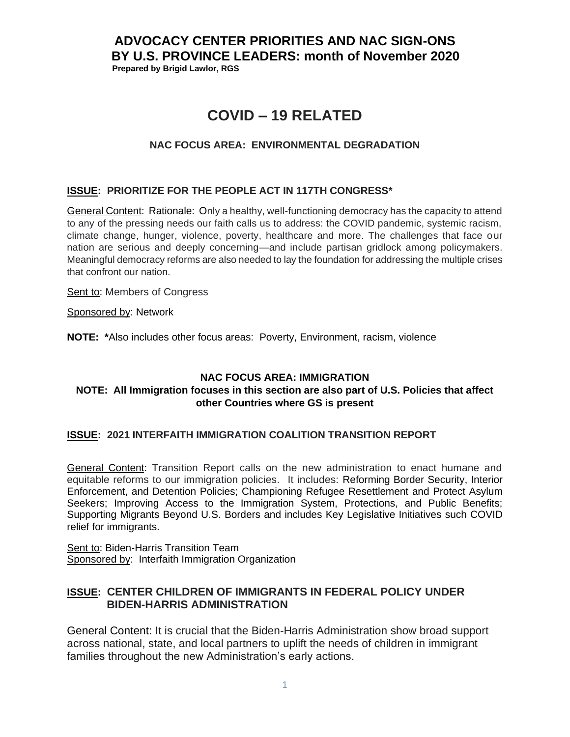## **ADVOCACY CENTER PRIORITIES AND NAC SIGN-ONS BY U.S. PROVINCE LEADERS: month of November 2020 Prepared by Brigid Lawlor, RGS**

# **COVID – 19 RELATED**

## **NAC FOCUS AREA: ENVIRONMENTAL DEGRADATION**

## **ISSUE: PRIORITIZE FOR THE PEOPLE ACT IN 117TH CONGRESS\***

General Content: Rationale: Only a healthy, well-functioning democracy has the capacity to attend to any of the pressing needs our faith calls us to address: the COVID pandemic, systemic racism, climate change, hunger, violence, poverty, healthcare and more. The challenges that face our nation are serious and deeply concerning—and include partisan gridlock among policymakers. Meaningful democracy reforms are also needed to lay the foundation for addressing the multiple crises that confront our nation.

Sent to: Members of Congress

Sponsored by: Network

**NOTE: \***Also includes other focus areas: Poverty, Environment, racism, violence

## **NAC FOCUS AREA: IMMIGRATION**

## **NOTE: All Immigration focuses in this section are also part of U.S. Policies that affect other Countries where GS is present**

## **ISSUE: 2021 INTERFAITH IMMIGRATION COALITION TRANSITION REPORT**

General Content: Transition Report calls on the new administration to enact humane and equitable reforms to our immigration policies. It includes: Reforming Border Security, Interior Enforcement, and Detention Policies; Championing Refugee Resettlement and Protect Asylum Seekers; Improving Access to the Immigration System, Protections, and Public Benefits; Supporting Migrants Beyond U.S. Borders and includes Key Legislative Initiatives such COVID relief for immigrants.

Sent to: Biden-Harris Transition Team Sponsored by: Interfaith Immigration Organization

## **ISSUE: CENTER CHILDREN OF IMMIGRANTS IN FEDERAL POLICY UNDER BIDEN-HARRIS ADMINISTRATION**

General Content: It is crucial that the Biden-Harris Administration show broad support across national, state, and local partners to uplift the needs of children in immigrant families throughout the new Administration's early actions.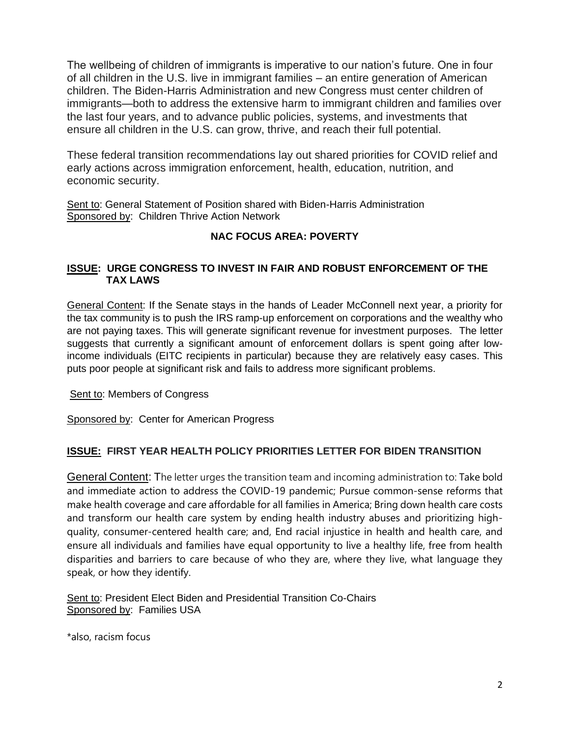The wellbeing of children of immigrants is imperative to our nation's future. One in four of all children in the U.S. live in immigrant families – an entire generation of American children. The Biden-Harris Administration and new Congress must center children of immigrants—both to address the extensive harm to immigrant children and families over the last four years, and to advance public policies, systems, and investments that ensure all children in the U.S. can grow, thrive, and reach their full potential.

These federal transition recommendations lay out shared priorities for COVID relief and early actions across immigration enforcement, health, education, nutrition, and economic security.

Sent to: General Statement of Position shared with Biden-Harris Administration Sponsored by: Children Thrive Action Network

## **NAC FOCUS AREA: POVERTY**

## **ISSUE: URGE CONGRESS TO INVEST IN FAIR AND ROBUST ENFORCEMENT OF THE TAX LAWS**

General Content: If the Senate stays in the hands of Leader McConnell next year, a priority for the tax community is to push the IRS ramp-up enforcement on corporations and the wealthy who are not paying taxes. This will generate significant revenue for investment purposes. The letter suggests that currently a significant amount of enforcement dollars is spent going after lowincome individuals (EITC recipients in particular) because they are relatively easy cases. This puts poor people at significant risk and fails to address more significant problems.

Sent to: Members of Congress

Sponsored by: Center for American Progress

## **ISSUE: FIRST YEAR HEALTH POLICY PRIORITIES LETTER FOR BIDEN TRANSITION**

General Content: The letter urges the transition team and incoming administration to: Take bold and immediate action to address the COVID-19 pandemic; Pursue common-sense reforms that make health coverage and care affordable for all families in America; Bring down health care costs and transform our health care system by ending health industry abuses and prioritizing highquality, consumer-centered health care; and, End racial injustice in health and health care, and ensure all individuals and families have equal opportunity to live a healthy life, free from health disparities and barriers to care because of who they are, where they live, what language they speak, or how they identify.

Sent to: President Elect Biden and Presidential Transition Co-Chairs Sponsored by: Families USA

\*also, racism focus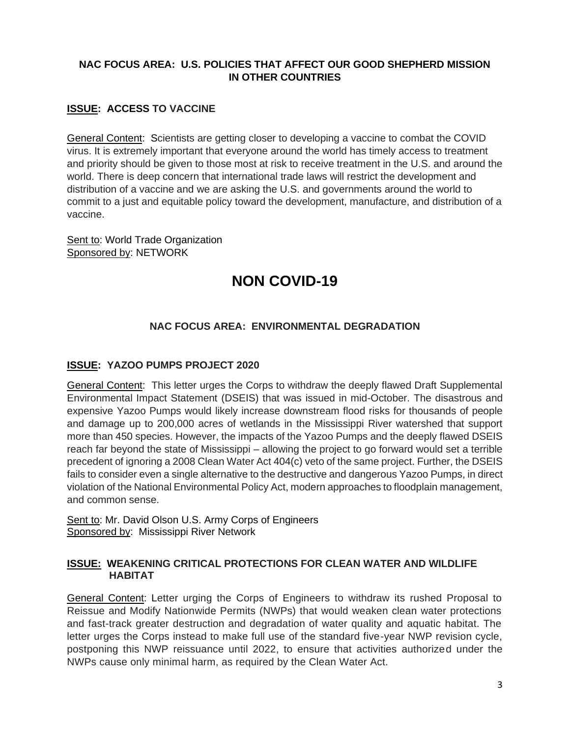## **NAC FOCUS AREA: U.S. POLICIES THAT AFFECT OUR GOOD SHEPHERD MISSION IN OTHER COUNTRIES**

## **ISSUE: ACCESS TO VACCINE**

General Content: Scientists are getting closer to developing a vaccine to combat the COVID virus. It is extremely important that everyone around the world has timely access to treatment and priority should be given to those most at risk to receive treatment in the U.S. and around the world. There is deep concern that international trade laws will restrict the development and distribution of a vaccine and we are asking the U.S. and governments around the world to commit to a just and equitable policy toward the development, manufacture, and distribution of a vaccine.

Sent to: World Trade Organization Sponsored by: NETWORK

# **NON COVID-19**

## **NAC FOCUS AREA: ENVIRONMENTAL DEGRADATION**

## **ISSUE: YAZOO PUMPS PROJECT 2020**

General Content: This letter urges the Corps to withdraw the deeply flawed Draft Supplemental Environmental Impact Statement (DSEIS) that was issued in mid-October. The disastrous and expensive Yazoo Pumps would likely increase downstream flood risks for thousands of people and damage up to 200,000 acres of wetlands in the Mississippi River watershed that support more than 450 species. However, the impacts of the Yazoo Pumps and the deeply flawed DSEIS reach far beyond the state of Mississippi – allowing the project to go forward would set a terrible precedent of ignoring a 2008 Clean Water Act 404(c) veto of the same project. Further, the DSEIS fails to consider even a single alternative to the destructive and dangerous Yazoo Pumps, in direct violation of the National Environmental Policy Act, modern approaches to floodplain management, and common sense.

Sent to: Mr. David Olson U.S. Army Corps of Engineers Sponsored by: Mississippi River Network

## **ISSUE: WEAKENING CRITICAL PROTECTIONS FOR CLEAN WATER AND WILDLIFE HABITAT**

General Content: Letter urging the Corps of Engineers to withdraw its rushed Proposal to Reissue and Modify Nationwide Permits (NWPs) that would weaken clean water protections and fast-track greater destruction and degradation of water quality and aquatic habitat. The letter urges the Corps instead to make full use of the standard five-year NWP revision cycle, postponing this NWP reissuance until 2022, to ensure that activities authorized under the NWPs cause only minimal harm, as required by the Clean Water Act.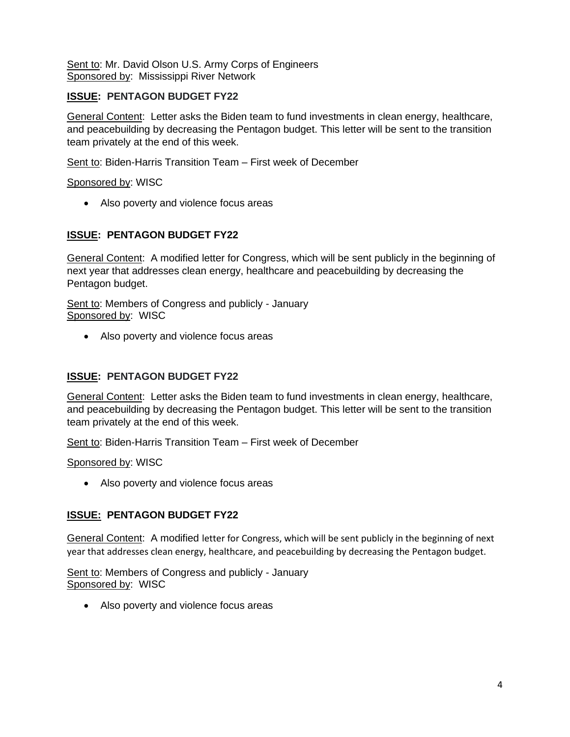Sent to: Mr. David Olson U.S. Army Corps of Engineers Sponsored by: Mississippi River Network

## **ISSUE: PENTAGON BUDGET FY22**

General Content: Letter asks the Biden team to fund investments in clean energy, healthcare, and peacebuilding by decreasing the Pentagon budget. This letter will be sent to the transition team privately at the end of this week.

Sent to: Biden-Harris Transition Team – First week of December

## Sponsored by: WISC

• Also poverty and violence focus areas

## **ISSUE: PENTAGON BUDGET FY22**

General Content: A modified letter for Congress, which will be sent publicly in the beginning of next year that addresses clean energy, healthcare and peacebuilding by decreasing the Pentagon budget.

Sent to: Members of Congress and publicly - January Sponsored by: WISC

• Also poverty and violence focus areas

## **ISSUE: PENTAGON BUDGET FY22**

General Content: Letter asks the Biden team to fund investments in clean energy, healthcare, and peacebuilding by decreasing the Pentagon budget. This letter will be sent to the transition team privately at the end of this week.

Sent to: Biden-Harris Transition Team – First week of December

Sponsored by: WISC

• Also poverty and violence focus areas

## **ISSUE: PENTAGON BUDGET FY22**

General Content: A modified letter for Congress, which will be sent publicly in the beginning of next year that addresses clean energy, healthcare, and peacebuilding by decreasing the Pentagon budget.

Sent to: Members of Congress and publicly - January Sponsored by: WISC

• Also poverty and violence focus areas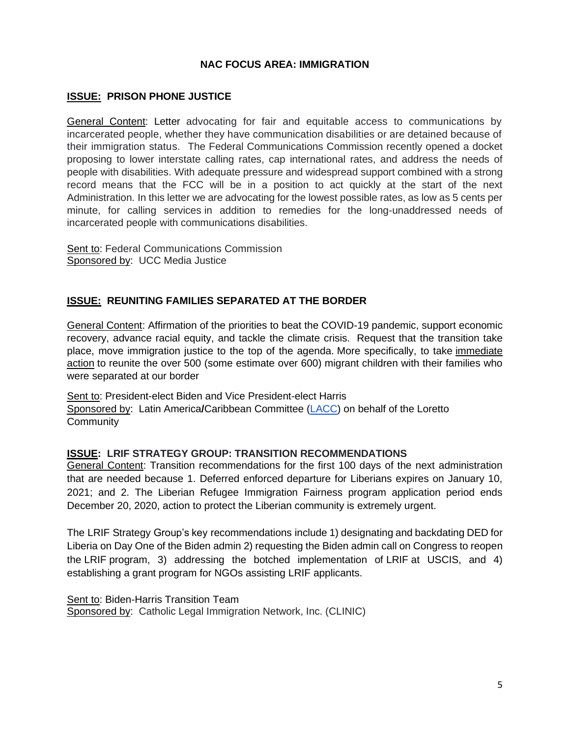## **NAC FOCUS AREA: IMMIGRATION**

## **ISSUE: PRISON PHONE JUSTICE**

General Content: Letter advocating for fair and equitable access to communications by incarcerated people, whether they have communication disabilities or are detained because of their immigration status. The Federal Communications Commission recently opened a docket proposing to lower interstate calling rates, cap international rates, and address the needs of people with disabilities. With adequate pressure and widespread support combined with a strong record means that the FCC will be in a position to act quickly at the start of the next Administration. In this letter we are advocating for the lowest possible rates, as low as 5 cents per minute, for calling services in addition to remedies for the long-unaddressed needs of incarcerated people with communications disabilities.

Sent to: Federal Communications Commission Sponsored by: UCC Media Justice

## **ISSUE: REUNITING FAMILIES SEPARATED AT THE BORDER**

General Content: Affirmation of the priorities to beat the COVID-19 pandemic, support economic recovery, advance racial equity, and tackle the climate crisis. Request that the transition take place, move immigration justice to the top of the agenda. More specifically, to take immediate action to reunite the over 500 (some estimate over 600) migrant children with their families who were separated at our border

Sent to: President-elect Biden and Vice President-elect Harris Sponsored by: Latin America/Caribbean Committee [\(LACC\)](https://www.lorettocommunity.org/how-we-serve/justice-peace/lacc/) on behalf of the Loretto **Community** 

#### **ISSUE: LRIF STRATEGY GROUP: TRANSITION RECOMMENDATIONS**

General Content: Transition recommendations for the first 100 days of the next administration that are needed because 1. Deferred enforced departure for Liberians expires on January 10, 2021; and 2. The Liberian Refugee Immigration Fairness program application period ends December 20, 2020, action to protect the Liberian community is extremely urgent.

The LRIF Strategy Group's key recommendations include 1) designating and backdating DED for Liberia on Day One of the Biden admin 2) requesting the Biden admin call on Congress to reopen the LRIF program, 3) addressing the botched implementation of LRIF at USCIS, and 4) establishing a grant program for NGOs assisting LRIF applicants.

Sent to: Biden-Harris Transition Team Sponsored by: Catholic Legal Immigration Network, Inc. (CLINIC)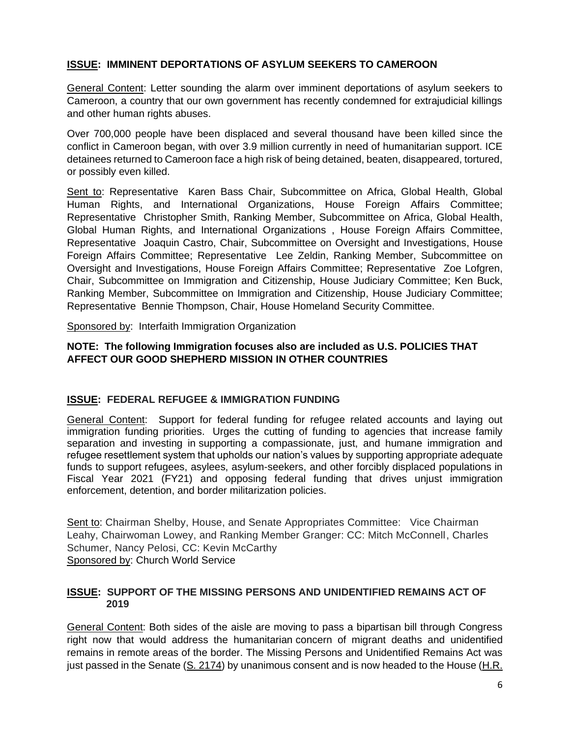## **ISSUE: IMMINENT DEPORTATIONS OF ASYLUM SEEKERS TO CAMEROON**

General Content: Letter sounding the alarm over imminent deportations of asylum seekers to Cameroon, a country that our own government has recently condemned for extrajudicial killings and other human rights abuses.

Over 700,000 people have been displaced and several thousand have been killed since the conflict in Cameroon began, with over 3.9 million currently in need of humanitarian support. ICE detainees returned to Cameroon face a high risk of being detained, beaten, disappeared, tortured, or possibly even killed.

Sent to: Representative Karen Bass Chair, Subcommittee on Africa, Global Health, Global Human Rights, and International Organizations, House Foreign Affairs Committee; Representative Christopher Smith, Ranking Member, Subcommittee on Africa, Global Health, Global Human Rights, and International Organizations , House Foreign Affairs Committee, Representative Joaquin Castro, Chair, Subcommittee on Oversight and Investigations, House Foreign Affairs Committee; Representative Lee Zeldin, Ranking Member, Subcommittee on Oversight and Investigations, House Foreign Affairs Committee; Representative Zoe Lofgren, Chair, Subcommittee on Immigration and Citizenship, House Judiciary Committee; Ken Buck, Ranking Member, Subcommittee on Immigration and Citizenship, House Judiciary Committee; Representative Bennie Thompson, Chair, House Homeland Security Committee.

Sponsored by: Interfaith Immigration Organization

#### **NOTE: The following Immigration focuses also are included as U.S. POLICIES THAT AFFECT OUR GOOD SHEPHERD MISSION IN OTHER COUNTRIES**

## **ISSUE: FEDERAL REFUGEE & IMMIGRATION FUNDING**

General Content: Support for federal funding for refugee related accounts and laying out immigration funding priorities. Urges the cutting of funding to agencies that increase family separation and investing in supporting a compassionate, just, and humane immigration and refugee resettlement system that upholds our nation's values by supporting appropriate adequate funds to support refugees, asylees, asylum-seekers, and other forcibly displaced populations in Fiscal Year 2021 (FY21) and opposing federal funding that drives unjust immigration enforcement, detention, and border militarization policies.

Sent to: Chairman Shelby, House, and Senate Appropriates Committee: Vice Chairman Leahy, Chairwoman Lowey, and Ranking Member Granger: CC: Mitch McConnell, Charles Schumer, Nancy Pelosi, CC: Kevin McCarthy Sponsored by: Church World Service

#### **ISSUE: SUPPORT OF THE MISSING PERSONS AND UNIDENTIFIED REMAINS ACT OF 2019**

General Content: Both sides of the aisle are moving to pass a bipartisan bill through Congress right now that would address the humanitarian concern of migrant deaths and unidentified remains in remote areas of the border. The Missing Persons and Unidentified Remains Act was just passed in the Senate [\(S. 2174\)](https://www.congress.gov/bill/116th-congress/senate-bill/2174/text?q=%7B%22search%22%3A%5B%22S+2174%22%5D%7D&r=1&s=7) by unanimous consent and is now headed to the House [\(H.R.](https://www.congress.gov/bill/116th-congress/house-bill/8772/text?q=%7B%22search%22%3A%5B%22H.R.+8772%22%5D%7D&r=1&s=2)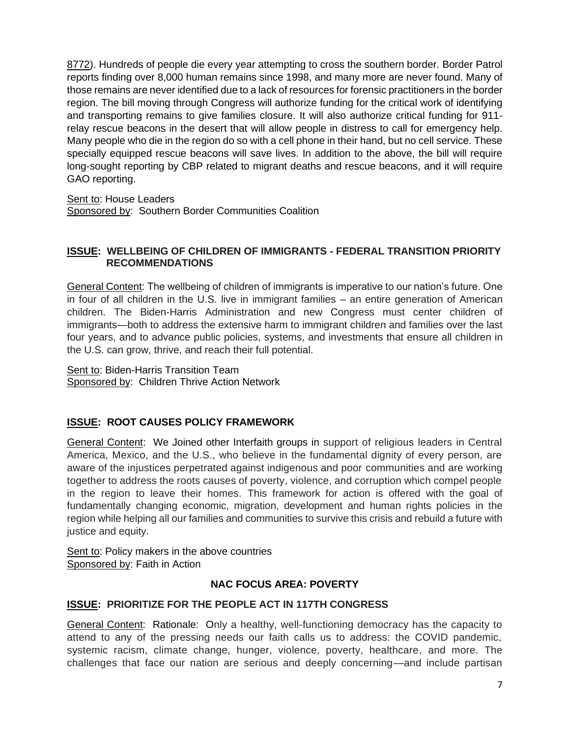[8772\)](https://www.congress.gov/bill/116th-congress/house-bill/8772/text?q=%7B%22search%22%3A%5B%22H.R.+8772%22%5D%7D&r=1&s=2). Hundreds of people die every year attempting to cross the southern border. Border Patrol reports finding over 8,000 human remains since 1998, and many more are never found. Many of those remains are never identified due to a lack of resources for forensic practitioners in the border region. The bill moving through Congress will authorize funding for the critical work of identifying and transporting remains to give families closure. It will also authorize critical funding for 911 relay rescue beacons in the desert that will allow people in distress to call for emergency help. Many people who die in the region do so with a cell phone in their hand, but no cell service. These specially equipped rescue beacons will save lives. In addition to the above, the bill will require long-sought reporting by CBP related to migrant deaths and rescue beacons, and it will require GAO reporting.

Sent to: House Leaders

Sponsored by: Southern Border Communities Coalition

## **ISSUE: WELLBEING OF CHILDREN OF IMMIGRANTS - FEDERAL TRANSITION PRIORITY RECOMMENDATIONS**

General Content: The wellbeing of children of immigrants is imperative to our nation's future. One in four of all children in the U.S. live in immigrant families – an entire generation of American children. The Biden-Harris Administration and new Congress must center children of immigrants—both to address the extensive harm to immigrant children and families over the last four years, and to advance public policies, systems, and investments that ensure all children in the U.S. can grow, thrive, and reach their full potential.

Sent to: Biden-Harris Transition Team Sponsored by: Children Thrive Action Network

## **ISSUE: ROOT CAUSES POLICY FRAMEWORK**

General Content: We Joined other Interfaith groups in support of religious leaders in Central America, Mexico, and the U.S., who believe in the fundamental dignity of every person, are aware of the injustices perpetrated against indigenous and poor communities and are working together to address the roots causes of poverty, violence, and corruption which compel people in the region to leave their homes. This framework for action is offered with the goal of fundamentally changing economic, migration, development and human rights policies in the region while helping all our families and communities to survive this crisis and rebuild a future with justice and equity.

Sent to: Policy makers in the above countries Sponsored by: Faith in Action

## **NAC FOCUS AREA: POVERTY**

## **ISSUE: PRIORITIZE FOR THE PEOPLE ACT IN 117TH CONGRESS**

General Content: Rationale: Only a healthy, well-functioning democracy has the capacity to attend to any of the pressing needs our faith calls us to address: the COVID pandemic, systemic racism, climate change, hunger, violence, poverty, healthcare, and more. The challenges that face our nation are serious and deeply concerning—and include partisan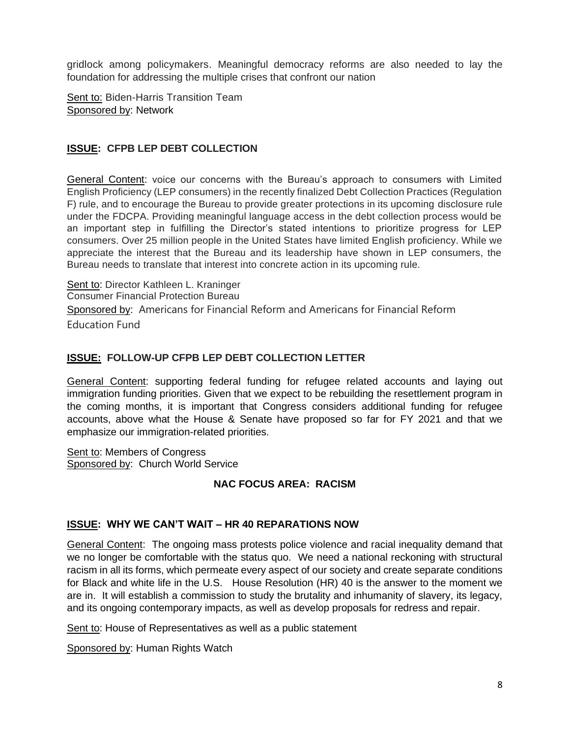gridlock among policymakers. Meaningful democracy reforms are also needed to lay the foundation for addressing the multiple crises that confront our nation

Sent to: Biden-Harris Transition Team Sponsored by: Network

## **ISSUE: CFPB LEP DEBT COLLECTION**

General Content: voice our concerns with the Bureau's approach to consumers with Limited English Proficiency (LEP consumers) in the recently finalized Debt Collection Practices (Regulation F) rule, and to encourage the Bureau to provide greater protections in its upcoming disclosure rule under the FDCPA. Providing meaningful language access in the debt collection process would be an important step in fulfilling the Director's stated intentions to prioritize progress for LEP consumers. Over 25 million people in the United States have limited English proficiency. While we appreciate the interest that the Bureau and its leadership have shown in LEP consumers, the Bureau needs to translate that interest into concrete action in its upcoming rule.

Sent to: Director Kathleen L. Kraninger Consumer Financial Protection Bureau Sponsored by: Americans for Financial Reform and Americans for Financial Reform Education Fund

## **ISSUE: FOLLOW-UP CFPB LEP DEBT COLLECTION LETTER**

General Content: supporting federal funding for refugee related accounts and laying out immigration funding priorities. Given that we expect to be rebuilding the resettlement program in the coming months, it is important that Congress considers additional funding for refugee accounts, above what the House & Senate have proposed so far for FY 2021 and that we emphasize our immigration-related priorities.

Sent to: Members of Congress Sponsored by: Church World Service

## **NAC FOCUS AREA: RACISM**

## **ISSUE: WHY WE CAN'T WAIT – HR 40 REPARATIONS NOW**

General Content: The ongoing mass protests police violence and racial inequality demand that we no longer be comfortable with the status quo. We need a national reckoning with structural racism in all its forms, which permeate every aspect of our society and create separate conditions for Black and white life in the U.S. House Resolution (HR) 40 is the answer to the moment we are in. It will establish a commission to study the brutality and inhumanity of slavery, its legacy, and its ongoing contemporary impacts, as well as develop proposals for redress and repair.

Sent to: House of Representatives as well as a public statement

Sponsored by: Human Rights Watch